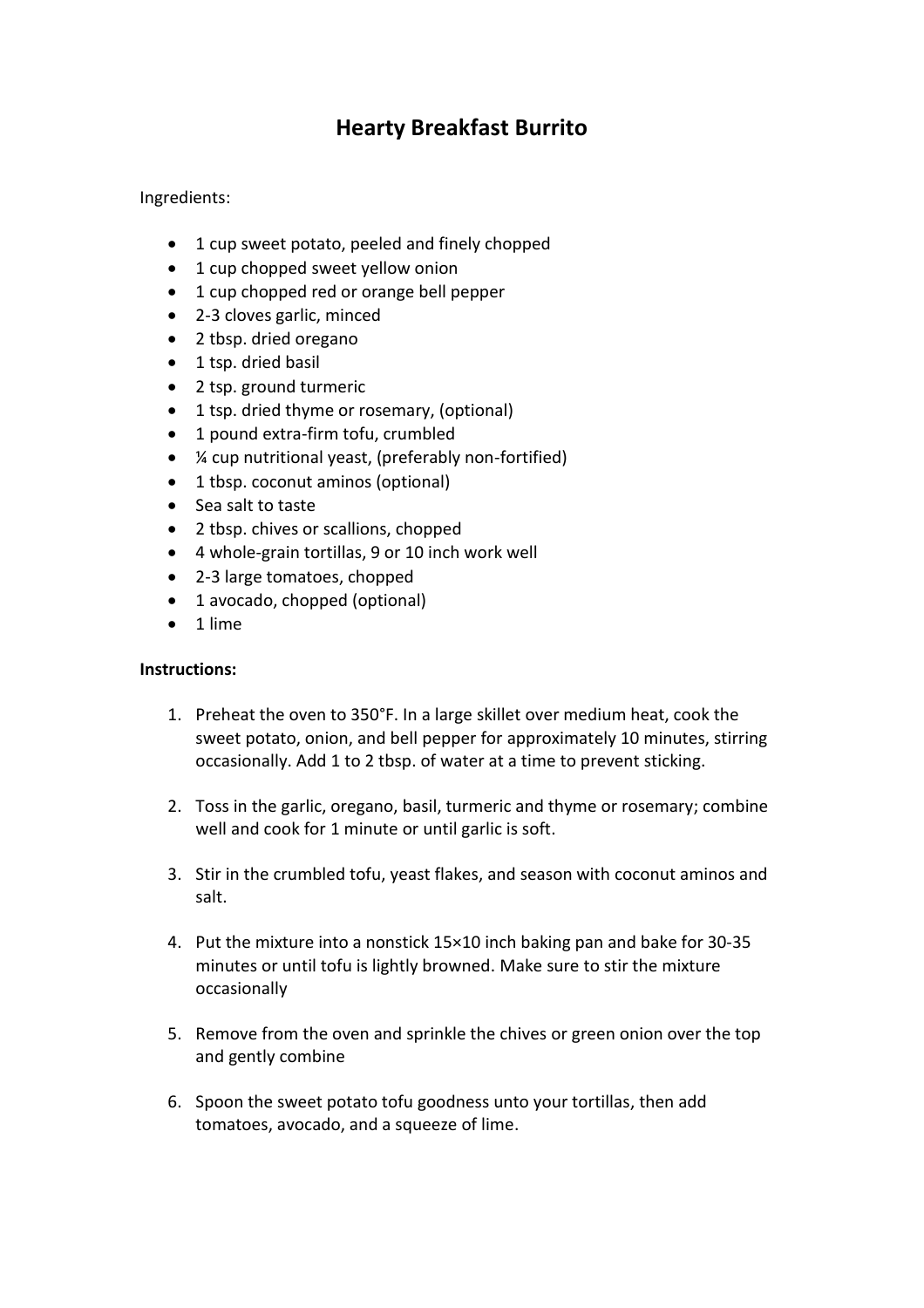## **Hearty Breakfast Burrito**

## Ingredients:

- 1 cup sweet potato, peeled and finely chopped
- 1 cup chopped sweet yellow onion
- 1 cup chopped red or orange bell pepper
- 2-3 cloves garlic, minced
- 2 tbsp. dried oregano
- 1 tsp. dried basil
- 2 tsp. ground turmeric
- 1 tsp. dried thyme or rosemary, (optional)
- 1 pound extra-firm tofu, crumbled
- ¼ cup nutritional yeast, (preferably non-fortified)
- 1 tbsp. coconut aminos (optional)
- Sea salt to taste
- 2 tbsp. chives or scallions, chopped
- 4 whole-grain tortillas, 9 or 10 inch work well
- 2-3 large tomatoes, chopped
- 1 avocado, chopped (optional)
- 1 lime

## **Instructions:**

- 1. Preheat the oven to 350°F. In a large skillet over medium heat, cook the sweet potato, onion, and bell pepper for approximately 10 minutes, stirring occasionally. Add 1 to 2 tbsp. of water at a time to prevent sticking.
- 2. Toss in the garlic, oregano, basil, turmeric and thyme or rosemary; combine well and cook for 1 minute or until garlic is soft.
- 3. Stir in the crumbled tofu, yeast flakes, and season with coconut aminos and salt.
- 4. Put the mixture into a nonstick 15×10 inch baking pan and bake for 30-35 minutes or until tofu is lightly browned. Make sure to stir the mixture occasionally
- 5. Remove from the oven and sprinkle the chives or green onion over the top and gently combine
- 6. Spoon the sweet potato tofu goodness unto your tortillas, then add tomatoes, avocado, and a squeeze of lime.